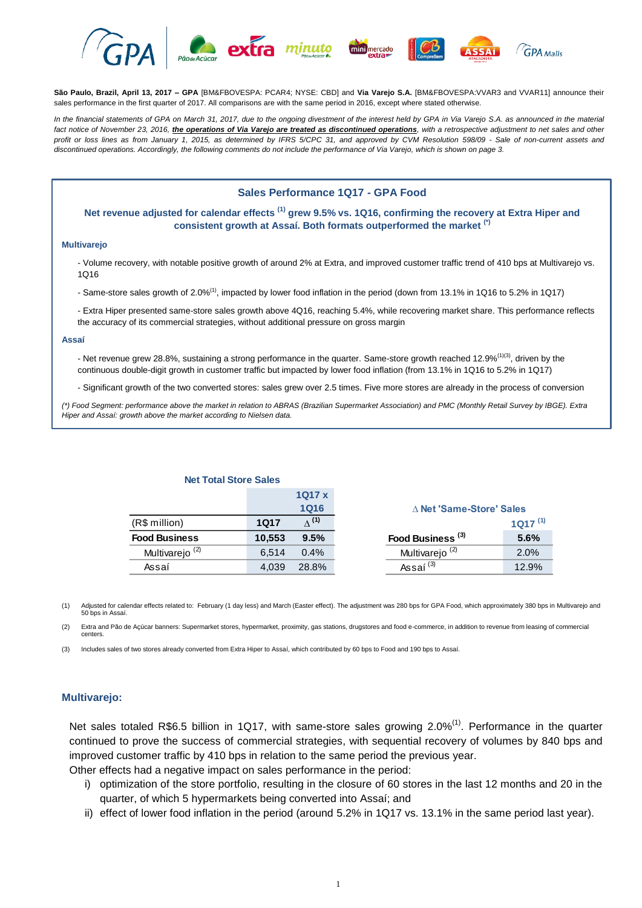

**São Paulo, Brazil, April 13, 2017 – GPA** [BM&FBOVESPA: PCAR4; NYSE: CBD] and **Via Varejo S.A.** [BM&FBOVESPA:VVAR3 and VVAR11] announce their sales performance in the first quarter of 2017. All comparisons are with the same period in 2016, except where stated otherwise.

*In the financial statements of GPA on March 31, 2017, due to the ongoing divestment of the interest held by GPA in Via Varejo S.A. as announced in the material*  fact notice of November 23, 2016, *the operations of Via Varejo are treated as discontinued operations*, with a retrospective adjustment to net sales and other *profit or loss lines as from January 1, 2015, as determined by IFRS 5/CPC 31, and approved by CVM Resolution 598/09 - Sale of non-current assets and discontinued operations. Accordingly, the following comments do not include the performance of Via Varejo, which is shown on page 3.*

## **Sales Performance 1Q17 - GPA Food**

### **Net revenue adjusted for calendar effects (1) grew 9.5% vs. 1Q16, confirming the recovery at Extra Hiper and consistent growth at Assaí. Both formats outperformed the market (\*)**

#### **Multivarejo**

- Volume recovery, with notable positive growth of around 2% at Extra, and improved customer traffic trend of 410 bps at Multivarejo vs. 1Q16

- Same-store sales growth of 2.0%(1), impacted by lower food inflation in the period (down from 13.1% in 1Q16 to 5.2% in 1Q17)
- Extra Hiper presented same-store sales growth above 4Q16, reaching 5.4%, while recovering market share. This performance reflects the accuracy of its commercial strategies, without additional pressure on gross margin

#### **Assaí**

- Net revenue grew 28.8%, sustaining a strong performance in the quarter. Same-store growth reached 12.9%<sup>(1)(3)</sup>, driven by the continuous double-digit growth in customer traffic but impacted by lower food inflation (from 13.1% in 1Q16 to 5.2% in 1Q17)
- Significant growth of the two converted stores: sales grew over 2.5 times. Five more stores are already in the process of conversion

*(\*) Food Segment: performance above the market in relation to ABRAS (Brazilian Supermarket Association) and PMC (Monthly Retail Survey by IBGE). Extra Hiper and Assaí: growth above the market according to Nielsen data.* 

| Net Total Store Sales      |        |               |
|----------------------------|--------|---------------|
|                            |        | 1Q17 x        |
|                            |        | <b>1Q16</b>   |
| (R\$ million)              | 1017   | $\Lambda$ (1) |
| <b>Food Business</b>       | 10,553 | 9.5%          |
| Multivarejo <sup>(2)</sup> | 6.514  | 0.4%          |
| Assaí                      | 4,039  | 28.8%         |

(1) Adjusted for calendar effects related to: February (1 day less) and March (Easter effect). The adjustment was 280 bps for GPA Food, which approximately 380 bps in Multivarejo and 50 bps in Assaí.

(2) Extra and Pão de Açúcar banners: Supermarket stores, hypermarket, proximity, gas stations, drugstores and food e-commerce, in addition to revenue from leasing of commercial centers.

(3) Includes sales of two stores already converted from Extra Hiper to Assaí, which contributed by 60 bps to Food and 190 bps to Assaí.

**Net Total Store Sales**

#### **Multivarejo:**

Net sales totaled R\$6.5 billion in 1Q17, with same-store sales growing 2.0%<sup>(1)</sup>. Performance in the quarter continued to prove the success of commercial strategies, with sequential recovery of volumes by 840 bps and improved customer traffic by 410 bps in relation to the same period the previous year.

Other effects had a negative impact on sales performance in the period:

- i) optimization of the store portfolio, resulting in the closure of 60 stores in the last 12 months and 20 in the quarter, of which 5 hypermarkets being converted into Assaí; and
- ii) effect of lower food inflation in the period (around 5.2% in 1Q17 vs. 13.1% in the same period last year).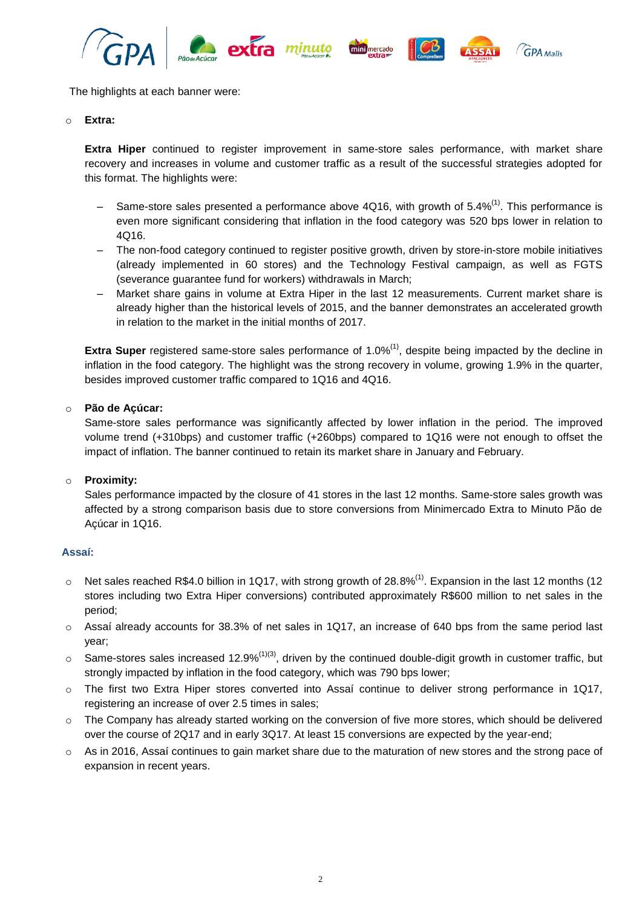

The highlights at each banner were:

#### o **Extra:**

**Extra Hiper** continued to register improvement in same-store sales performance, with market share recovery and increases in volume and customer traffic as a result of the successful strategies adopted for this format. The highlights were:

- $-$  Same-store sales presented a performance above 4Q16, with growth of 5.4%<sup>(1)</sup>. This performance is even more significant considering that inflation in the food category was 520 bps lower in relation to 4Q16.
- The non-food category continued to register positive growth, driven by store-in-store mobile initiatives (already implemented in 60 stores) and the Technology Festival campaign, as well as FGTS (severance guarantee fund for workers) withdrawals in March;
- Market share gains in volume at Extra Hiper in the last 12 measurements. Current market share is already higher than the historical levels of 2015, and the banner demonstrates an accelerated growth in relation to the market in the initial months of 2017.

**Extra Super** registered same-store sales performance of 1.0%<sup>(1)</sup>, despite being impacted by the decline in inflation in the food category. The highlight was the strong recovery in volume, growing 1.9% in the quarter, besides improved customer traffic compared to 1Q16 and 4Q16.

## o **Pão de Açúcar:**

Same-store sales performance was significantly affected by lower inflation in the period. The improved volume trend (+310bps) and customer traffic (+260bps) compared to 1Q16 were not enough to offset the impact of inflation. The banner continued to retain its market share in January and February.

### o **Proximity:**

Sales performance impacted by the closure of 41 stores in the last 12 months. Same-store sales growth was affected by a strong comparison basis due to store conversions from Minimercado Extra to Minuto Pão de Açúcar in 1Q16.

### **Assaí:**

- $\circ$  Net sales reached R\$4.0 billion in 1Q17, with strong growth of 28.8%<sup>(1)</sup>. Expansion in the last 12 months (12 stores including two Extra Hiper conversions) contributed approximately R\$600 million to net sales in the period;
- o Assaí already accounts for 38.3% of net sales in 1Q17, an increase of 640 bps from the same period last year;
- $\circ$  Same-stores sales increased 12.9%<sup>(1)(3)</sup>, driven by the continued double-digit growth in customer traffic, but strongly impacted by inflation in the food category, which was 790 bps lower;
- o The first two Extra Hiper stores converted into Assaí continue to deliver strong performance in 1Q17, registering an increase of over 2.5 times in sales;
- o The Company has already started working on the conversion of five more stores, which should be delivered over the course of 2Q17 and in early 3Q17. At least 15 conversions are expected by the year-end;
- $\circ$  As in 2016, Assaí continues to gain market share due to the maturation of new stores and the strong pace of expansion in recent years.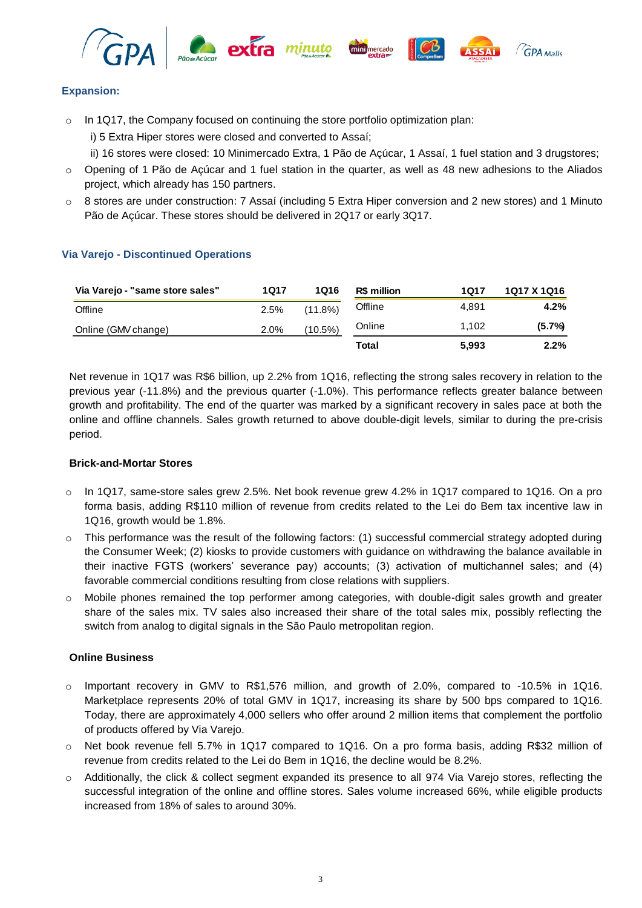







 $\sqrt{G}P$ A Malls

# **Expansion:**

- o In 1Q17, the Company focused on continuing the store portfolio optimization plan:
	- i) 5 Extra Hiper stores were closed and converted to Assaí;

ii) 16 stores were closed: 10 Minimercado Extra, 1 Pão de Açúcar, 1 Assaí, 1 fuel station and 3 drugstores;

- $\circ$  Opening of 1 Pão de Açúcar and 1 fuel station in the quarter, as well as 48 new adhesions to the Aliados project, which already has 150 partners.
- o 8 stores are under construction: 7 Assaí (including 5 Extra Hiper conversion and 2 new stores) and 1 Minuto Pão de Açúcar. These stores should be delivered in 2Q17 or early 3Q17.

# **Via Varejo - Discontinued Operations**

| Via Varejo - "same store sales" | 1Q17 | 1Q16       | R\$ million | 1Q17  | 1Q17 X 1Q16 |
|---------------------------------|------|------------|-------------|-------|-------------|
| Offline                         | 2.5% | $(11.8\%)$ | Offline     | 4.891 | 4.2%        |
| Online (GMV change)             | 2.0% | (10.5%)    | Online      | 1.102 | (5.7%)      |
|                                 |      |            | Total       | 5,993 | $2.2\%$     |

Net revenue in 1Q17 was R\$6 billion, up 2.2% from 1Q16, reflecting the strong sales recovery in relation to the previous year (-11.8%) and the previous quarter (-1.0%). This performance reflects greater balance between growth and profitability. The end of the quarter was marked by a significant recovery in sales pace at both the online and offline channels. Sales growth returned to above double-digit levels, similar to during the pre-crisis period.

# **Brick-and-Mortar Stores**

- $\circ$  In 1Q17, same-store sales grew 2.5%. Net book revenue grew 4.2% in 1Q17 compared to 1Q16. On a pro forma basis, adding R\$110 million of revenue from credits related to the Lei do Bem tax incentive law in 1Q16, growth would be 1.8%.
- o This performance was the result of the following factors: (1) successful commercial strategy adopted during the Consumer Week; (2) kiosks to provide customers with guidance on withdrawing the balance available in their inactive FGTS (workers' severance pay) accounts; (3) activation of multichannel sales; and (4) favorable commercial conditions resulting from close relations with suppliers.
- $\circ$  Mobile phones remained the top performer among categories, with double-digit sales growth and greater share of the sales mix. TV sales also increased their share of the total sales mix, possibly reflecting the switch from analog to digital signals in the São Paulo metropolitan region.

# **Online Business**

- o Important recovery in GMV to R\$1,576 million, and growth of 2.0%, compared to -10.5% in 1Q16. Marketplace represents 20% of total GMV in 1Q17, increasing its share by 500 bps compared to 1Q16. Today, there are approximately 4,000 sellers who offer around 2 million items that complement the portfolio of products offered by Via Varejo.
- o Net book revenue fell 5.7% in 1Q17 compared to 1Q16. On a pro forma basis, adding R\$32 million of revenue from credits related to the Lei do Bem in 1Q16, the decline would be 8.2%.
- o Additionally, the click & collect segment expanded its presence to all 974 Via Varejo stores, reflecting the successful integration of the online and offline stores. Sales volume increased 66%, while eligible products increased from 18% of sales to around 30%.